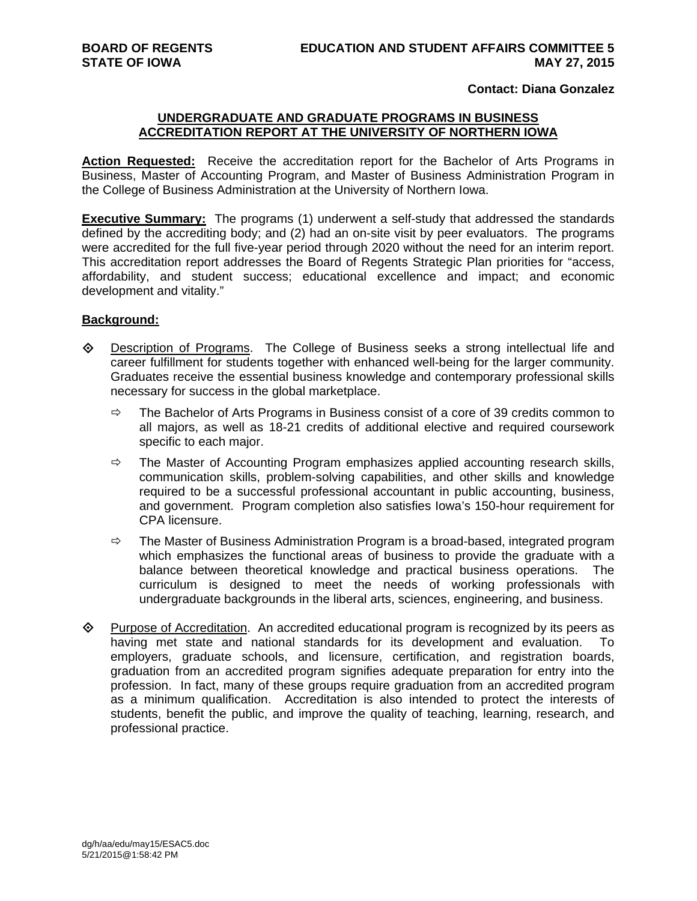### **Contact: Diana Gonzalez**

## **UNDERGRADUATE AND GRADUATE PROGRAMS IN BUSINESS ACCREDITATION REPORT AT THE UNIVERSITY OF NORTHERN IOWA**

**Action Requested:** Receive the accreditation report for the Bachelor of Arts Programs in Business, Master of Accounting Program, and Master of Business Administration Program in the College of Business Administration at the University of Northern Iowa.

**Executive Summary:** The programs (1) underwent a self-study that addressed the standards defined by the accrediting body; and (2) had an on-site visit by peer evaluators. The programs were accredited for the full five-year period through 2020 without the need for an interim report. This accreditation report addresses the Board of Regents Strategic Plan priorities for "access, affordability, and student success; educational excellence and impact; and economic development and vitality."

## **Background:**

- Description of Programs. The College of Business seeks a strong intellectual life and career fulfillment for students together with enhanced well-being for the larger community. Graduates receive the essential business knowledge and contemporary professional skills necessary for success in the global marketplace.
	- $\Rightarrow$  The Bachelor of Arts Programs in Business consist of a core of 39 credits common to all majors, as well as 18-21 credits of additional elective and required coursework specific to each major.
	- $\Rightarrow$  The Master of Accounting Program emphasizes applied accounting research skills, communication skills, problem-solving capabilities, and other skills and knowledge required to be a successful professional accountant in public accounting, business, and government. Program completion also satisfies Iowa's 150-hour requirement for CPA licensure.
	- $\Rightarrow$  The Master of Business Administration Program is a broad-based, integrated program which emphasizes the functional areas of business to provide the graduate with a balance between theoretical knowledge and practical business operations. The curriculum is designed to meet the needs of working professionals with undergraduate backgrounds in the liberal arts, sciences, engineering, and business.
- $\diamond$  Purpose of Accreditation. An accredited educational program is recognized by its peers as having met state and national standards for its development and evaluation. To employers, graduate schools, and licensure, certification, and registration boards, graduation from an accredited program signifies adequate preparation for entry into the profession. In fact, many of these groups require graduation from an accredited program as a minimum qualification. Accreditation is also intended to protect the interests of students, benefit the public, and improve the quality of teaching, learning, research, and professional practice.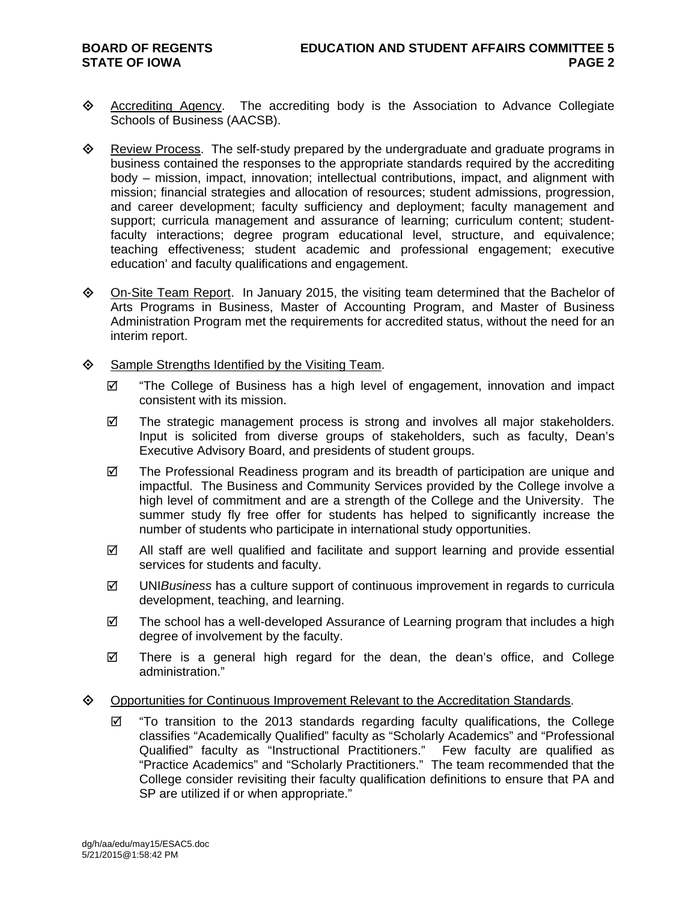- Accrediting Agency. The accrediting body is the Association to Advance Collegiate Schools of Business (AACSB).
- $\diamond$  Review Process. The self-study prepared by the undergraduate and graduate programs in business contained the responses to the appropriate standards required by the accrediting body – mission, impact, innovation; intellectual contributions, impact, and alignment with mission; financial strategies and allocation of resources; student admissions, progression, and career development; faculty sufficiency and deployment; faculty management and support; curricula management and assurance of learning; curriculum content; studentfaculty interactions; degree program educational level, structure, and equivalence; teaching effectiveness; student academic and professional engagement; executive education' and faculty qualifications and engagement.
- On-Site Team Report. In January 2015, the visiting team determined that the Bachelor of Arts Programs in Business, Master of Accounting Program, and Master of Business Administration Program met the requirements for accredited status, without the need for an interim report.
- $\diamond$  Sample Strengths Identified by the Visiting Team.
	- $\boxtimes$  "The College of Business has a high level of engagement, innovation and impact consistent with its mission.
	- $\boxtimes$  The strategic management process is strong and involves all major stakeholders. Input is solicited from diverse groups of stakeholders, such as faculty, Dean's Executive Advisory Board, and presidents of student groups.
	- $\boxtimes$  The Professional Readiness program and its breadth of participation are unique and impactful. The Business and Community Services provided by the College involve a high level of commitment and are a strength of the College and the University. The summer study fly free offer for students has helped to significantly increase the number of students who participate in international study opportunities.
	- All staff are well qualified and facilitate and support learning and provide essential services for students and faculty.
	- UNI*Business* has a culture support of continuous improvement in regards to curricula development, teaching, and learning.
	- $\boxtimes$  The school has a well-developed Assurance of Learning program that includes a high degree of involvement by the faculty.
	- $\boxtimes$  There is a general high regard for the dean, the dean's office, and College administration."

# **EXECO POPIS THE CONTIGLE OPPORTIVE CONTINUM** Copportunities for Continuous.

 $\boxtimes$  "To transition to the 2013 standards regarding faculty qualifications, the College classifies "Academically Qualified" faculty as "Scholarly Academics" and "Professional Qualified" faculty as "Instructional Practitioners." Few faculty are qualified as "Practice Academics" and "Scholarly Practitioners." The team recommended that the College consider revisiting their faculty qualification definitions to ensure that PA and SP are utilized if or when appropriate."